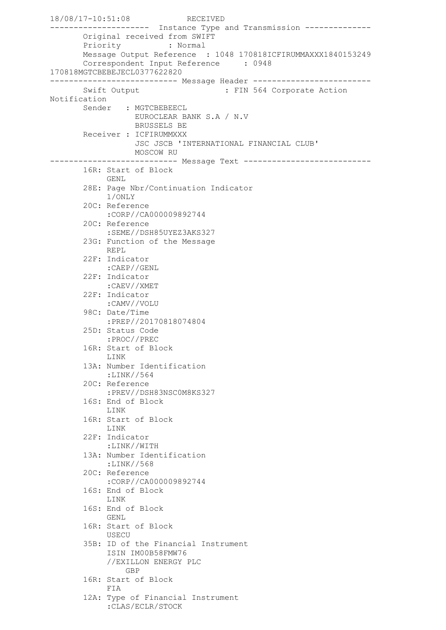18/08/17-10:51:08 RECEIVED --------------------- Instance Type and Transmission -------------- Original received from SWIFT Priority : Normal Message Output Reference : 1048 170818ICFIRUMMAXXX1840153249 Correspondent Input Reference : 0948 170818MGTCBEBEJECL0377622820 --------------------------- Message Header ------------------------- Swift Output : FIN 564 Corporate Action Notification Sender : MGTCBEBEECL EUROCLEAR BANK S.A / N.V BRUSSELS BE Receiver : ICFIRUMMXXX JSC JSCB 'INTERNATIONAL FINANCIAL CLUB' MOSCOW RU --------------------------- Message Text --------------------------- 16R: Start of Block GENL. 28E: Page Nbr/Continuation Indicator 1/ONLY 20C: Reference :CORP//CA000009892744 20C: Reference :SEME//DSH85UYEZ3AKS327 23G: Function of the Message REPL 22F: Indicator :CAEP//GENL 22F: Indicator :CAEV//XMET 22F: Indicator :CAMV//VOLU 98C: Date/Time :PREP//20170818074804 25D: Status Code :PROC//PREC 16R: Start of Block LINK 13A: Number Identification :LINK//564 20C: Reference :PREV//DSH83NSC0M8KS327 16S: End of Block LINK 16R: Start of Block LINK 22F: Indicator :LINK//WITH 13A: Number Identification :LINK//568 20C: Reference :CORP//CA000009892744 16S: End of Block LINK 16S: End of Block GENL 16R: Start of Block USECU 35B: ID of the Financial Instrument ISIN IM00B58FMW76 //EXILLON ENERGY PLC GBP 16R: Start of Block FIA 12A: Type of Financial Instrument :CLAS/ECLR/STOCK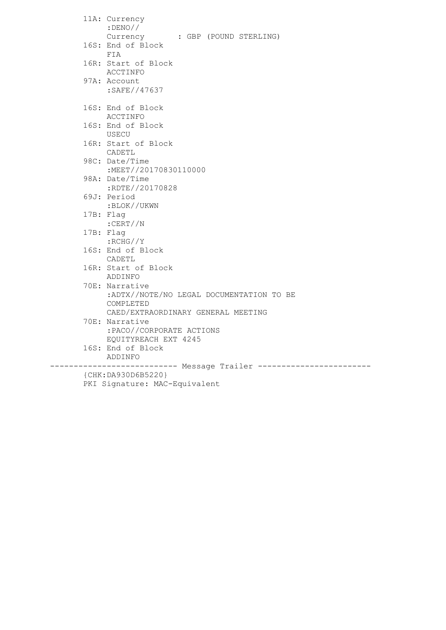|                    | 11A: Currency<br>$:$ DENO//               |
|--------------------|-------------------------------------------|
|                    | Currency : GBP (POUND STERLING)           |
|                    | 16S: End of Block                         |
|                    | FIA                                       |
|                    | 16R: Start of Block                       |
|                    | ACCTINFO                                  |
|                    | 97A: Account                              |
|                    | :SAFE//47637                              |
|                    |                                           |
|                    | 16S: End of Block<br>ACCTINFO             |
|                    | 16S: End of Block                         |
|                    | USECU                                     |
|                    | 16R: Start of Block                       |
|                    | CADETL                                    |
|                    | 98C: Date/Time                            |
|                    | :MEET//20170830110000                     |
|                    | 98A: Date/Time                            |
|                    | :RDTE//20170828                           |
|                    | 69J: Period                               |
|                    | :BLOK//UKWN                               |
|                    | 17B: Flag<br>:CERT//N                     |
|                    | 17B: Flag                                 |
|                    | $:$ RCHG $//Y$                            |
|                    | 16S: End of Block                         |
|                    | CADETL                                    |
|                    | 16R: Start of Block                       |
|                    | ADDINFO                                   |
|                    | 70E: Narrative                            |
|                    | :ADTX//NOTE/NO LEGAL DOCUMENTATION TO BE  |
|                    | COMPLETED                                 |
|                    | CAED/EXTRAORDINARY GENERAL MEETING        |
|                    | 70E: Narrative                            |
|                    | :PACO//CORPORATE ACTIONS                  |
|                    | EQUITYREACH EXT 4245<br>16S: End of Block |
|                    | ADDINFO                                   |
|                    |                                           |
| {CHK:DA930D6B5220} |                                           |
|                    | PKI Signature: MAC-Equivalent             |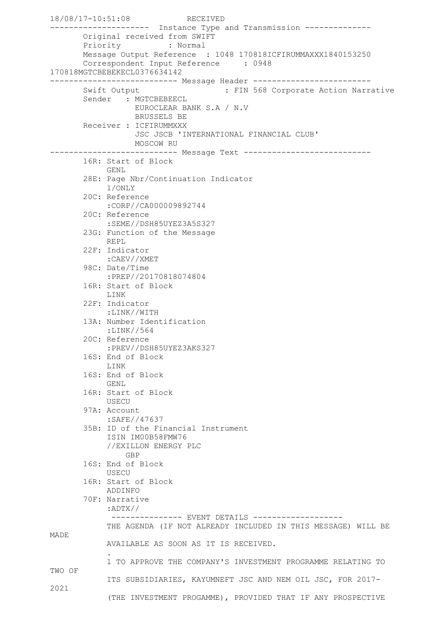```
18/08/17-10:51:08 RECEIVED
--------------------- Instance Type and Transmission --------------
        Original received from SWIFT
        Priority : Normal
        Message Output Reference : 1048 170818ICFIRUMMAXXX1840153250
       Correspondent Input Reference : 0948
170818MGTCBEBEKECL0376634142
--------------------------- Message Header -------------------------
       Swift Output : FIN 568 Corporate Action Narrative
       Sender : MGTCBEBEECL
                   EUROCLEAR BANK S.A / N.V
                  BRUSSELS BE
        Receiver : ICFIRUMMXXX
                   JSC JSCB 'INTERNATIONAL FINANCIAL CLUB'
                 MOSCOW RU
--------------------------- Message Text ---------------------------
        16R: Start of Block
             GENL
        28E: Page Nbr/Continuation Indicator
             1/ONLY
        20C: Reference
             :CORP//CA000009892744
        20C: Reference
             :SEME//DSH85UYEZ3A5S327
        23G: Function of the Message
            REPL
        22F: Indicator
             :CAEV//XMET
        98C: Date/Time
             :PREP//20170818074804
        16R: Start of Block
             LINK
        22F: Indicator
             :LINK//WITH
        13A: Number Identification
             :LINK//564
        20C: Reference
             :PREV//DSH85UYEZ3AKS327
        16S: End of Block
             LINK
        16S: End of Block
            GENL
        16R: Start of Block
             USECU
        97A: Account
             :SAFE//47637
        35B: ID of the Financial Instrument
             ISIN IM00B58FMW76
             //EXILLON ENERGY PLC
                GBP
        16S: End of Block
            USECU
        16R: Start of Block
             ADDINFO
        70F: Narrative
             :ADTX//
             --------------    EVENT DETAILS    ------------------
             THE AGENDA (IF NOT ALREADY INCLUDED IN THIS MESSAGE) WILL BE 
MADE
             AVAILABLE AS SOON AS IT IS RECEIVED.
 .
             1 TO APPROVE THE COMPANY'S INVESTMENT PROGRAMME RELATING TO 
TWO OF
             ITS SUBSIDIARIES, KAYUMNEFT JSC AND NEM OIL JSC, FOR 2017-
2021
             (THE INVESTMENT PROGAMME), PROVIDED THAT IF ANY PROSPECTIVE
```